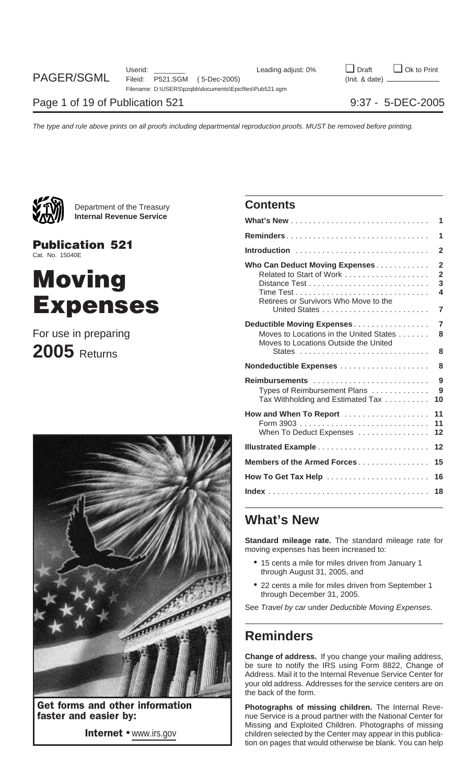

Department of the Treasury **Contents Internal Revenue Service** 

**Publication 521** Cat. No. 15040E

# **Moving** Expenses

## For use in preparing **2005** Returns



|                                                                                                                | 1                                               |
|----------------------------------------------------------------------------------------------------------------|-------------------------------------------------|
|                                                                                                                | 1                                               |
|                                                                                                                | $\overline{2}$                                  |
| Who Can Deduct Moving Expenses.<br>Related to Start of Work<br>Retirees or Survivors Who Move to the           | $\overline{2}$<br>$\overline{2}$<br>3<br>4<br>7 |
| Deductible Moving Expenses<br>Moves to Locations in the United States<br>Moves to Locations Outside the United | 7<br>8<br>8                                     |
|                                                                                                                | 8                                               |
| Reimbursements<br>Types of Reimbursement Plans<br>Tax Withholding and Estimated Tax                            | 9<br>9<br>10                                    |
| How and When To Report<br>When To Deduct Expenses                                                              | 11<br>11<br>12                                  |
|                                                                                                                | 12                                              |
| Members of the Armed Forces                                                                                    | 15                                              |
| How To Get Tax Help                                                                                            | 16                                              |
|                                                                                                                | 18                                              |

### **What's New**

**Standard mileage rate.** The standard mileage rate for moving expenses has been increased to:

- 15 cents a mile for miles driven from January 1 through August 31, 2005, and
- 22 cents a mile for miles driven from September 1 through December 31, 2005.

See Travel by car under Deductible Moving Expenses.

## **Reminders**

**Change of address.** If you change your mailing address, be sure to notify the IRS using Form 8822, Change of Address. Mail it to the Internal Revenue Service Center for your old address. Addresses for the service centers are on the back of the form.

**Get forms and other information Photographs of missing children.** The Internal Reve-<br>**Faster and easier by: Photographs of missing children.** The Internal Revenue Service is a proud partner with the National Center for Missing and Exploited Children. Photographs of missing Internet • www.irs.gov entitled by the Center may appear in this publication on pages that would otherwise be blank. You can help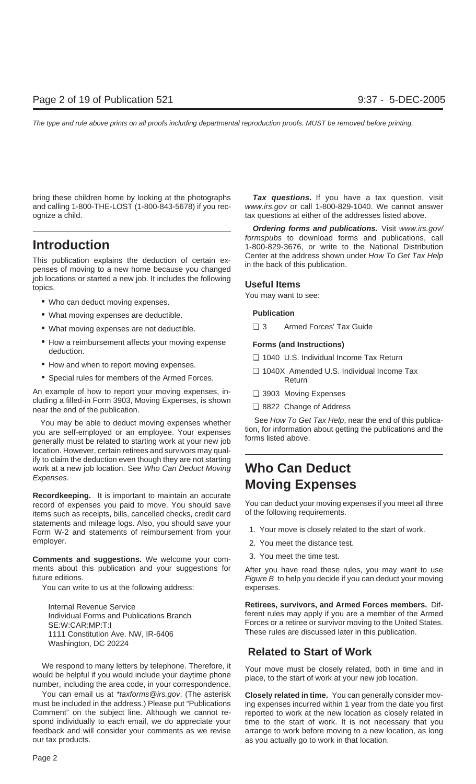bring these children home by looking at the photographs **Tax questions.** If you have a tax question, visit and calling 1-800-THE-LOST (1-800-843-5678) if you rec- www.irs.gov or call 1-800-829-1040. We cannot answer ognize a child. tax questions at either of the addresses listed above.

This publication explains the deduction of certain ex-<br>penses of moving to a new home because you changed<br>in the back of this publication. job locations or started a new job. It includes the following **Useful Items** topics.

- Who can deduct moving expenses.
- What moving expenses are deductible. **Publication**
- What moving expenses are not deductible. <br>■ 3 Armed Forces' Tax Guide
- How a reimbursement affects your moving expense **Forms (and Instructions)** deduction.
- 
- 

An example of how to report your moving expenses, in- ❏ 3903 Moving Expenses cluding a filled-in Form 3903, Moving Expenses, is shown ❏ 8822 Change of Address near the end of the publication.

location. However, certain retirees and survivors may qualify to claim the deduction even though they are not starting work at a new job location. See Who Can Deduct Moving **Who Can Deduct** Expenses.

**Recordkeeping.** It is important to maintain an accurate record of expenses you paid to move. You should save You can deduct your moving expenses if you meet all three<br>items such as receints, bills, cancelled checks, credit card of the following requirements. items such as receipts, bills, cancelled checks, credit card statements and mileage logs. Also, you should save your<br>Form W-2 and statements of reimbursement from your 1. Your move is closely related to the start of work. employer. 2. You meet the distance test.

**Comments and suggestions.** We welcome your com-<br>3. You meet the time test. ments about this publication and your suggestions for After you have read these rules, you may want to use future editions.

You can write to us at the following address: expenses.

Washington, DC 20224

We respond to many letters by telephone. Therefore, it<br>would be helpful if you would include your daytime phone<br>number, including the area code, in your correspondence.

You can email us at \*taxforms@irs.gov. (The asterisk **Closely related in time.** You can generally consider movmust be included in the address.) Please put "Publications ing expenses incurred within 1 year from the date you first<br>Comment" on the subject line. Although we cannot re- reported to work at the new location as closely re Comment" on the subject line. Although we cannot re-<br>spond individually to each email, we do appreciate your time to the start of work. It is not necessary that you spond individually to each email, we do appreciate your time to the start of work. It is not necessary that you<br>feedback and will consider your comments as we revise arrange to work before moving to a new location, as long our tax products. as you actually go to work in that location.

**Ordering forms and publications.** Visit www.irs.gov/ formspubs to download forms and publications, call<br>1-800-829-3676, or write to the National Distribution<br>Center at the address shown under *How To Get Tax Help* 

- 
- How and when to report moving expenses. <br>■ 1040X Amended U.S. Individual Income Tax Special rules for members of the Armed Forces. Return
	-
	-

You may be able to deduct moving expenses whether<br>you are self-employed or an employee. Your expenses<br>generally must be related to starting work at your new job<br>forms listed above.

# **Moving Expenses**

- 
- 
- 

Figure  $B$  to help you decide if you can deduct your moving

**Internal Revenue Service Retirees, survivors, and Armed Forces members.** Dif-Individual Forms and Publications Branch **Franchised Communist Communist Communist** ferent rules may apply if you are a member of the Armed SE:W:CAR:MP:T:I SAND STATES STATES IN SERIES AND THE SERIES FORCES OF A retiree or survivor moving to the United States. These rules are discussed later in this publication. 1111 Constitution Ave. NW, IR-6406

### **Related to Start of Work**

arrange to work before moving to a new location, as long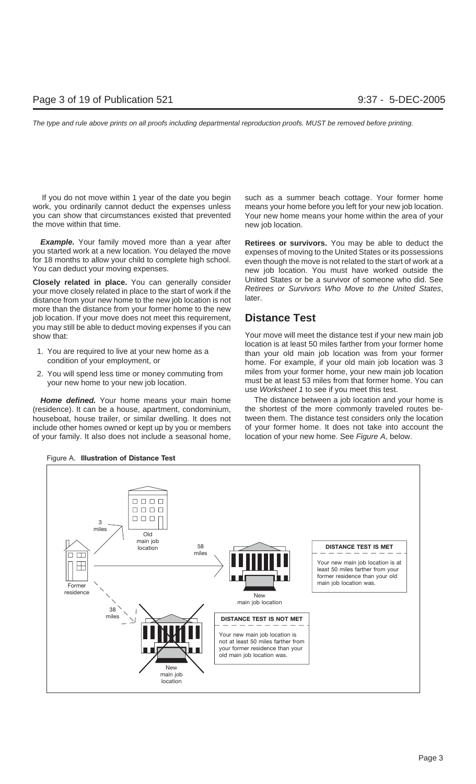work, you ordinarily cannot deduct the expenses unless means your home before you left for your new job location. you can show that circumstances existed that prevented Your new home means your home within the area of your the move within that time. The move within that time.

**Example.** Your family moved more than a year after **Retirees or survivors.** You may be able to deduct the you started work at a new location. You delayed the move expenses of moving to the United States or its possessions for 18 months to allow your child to complete high school. even though the move is not related to the start of work at a

more than the distance from your former home to the new job location. If your move does not meet this requirement, **Distance Test** you may still be able to deduct moving expenses if you can show that: Your move will meet the distance test if your new main job

- 
- 

(residence). It can be a house, apartment, condominium, the shortest of the more commonly traveled routes behouseboat, house trailer, or similar dwelling. It does not tween them. The distance test considers only the location include other homes owned or kept up by you or members of your former home. It does not take into account the of your family. It also does not include a seasonal home, location of your new home. See Figure A, below.

If you do not move within 1 year of the date you begin such as a summer beach cottage. Your former home

new job location. You must have worked outside the **Closely related in place.** You can generally consider<br>your move closely related in place to the start of work if the<br>distance from your new home to the new job location is not<br>distance from your new home to the new job lo

location is at least 50 miles farther from your former home 1. You are required to live at your new home as a than your old main job location was from your former condition of your employment, or home. For example, if your old main job location was 3 miles from your former home, your new main job location 2. You will spend less time or money commuting from must be at least 53 miles from that former home. You can your new home to your new job location. use Worksheet 1 to see if you meet this test.

Home defined. Your home means your main home The distance between a job location and your home is



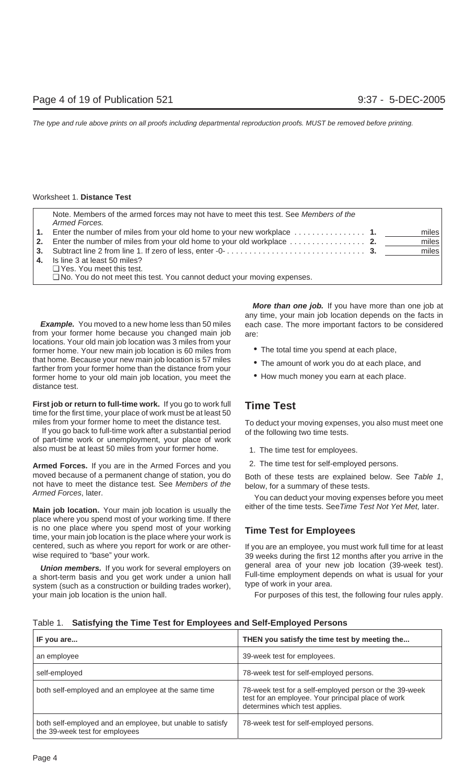| Note. Members of the armed forces may not have to meet this test. See Members of the<br>Armed Forces. |       |
|-------------------------------------------------------------------------------------------------------|-------|
|                                                                                                       | miles |
|                                                                                                       | miles |
|                                                                                                       | miles |
| 4. Is line 3 at least 50 miles?                                                                       |       |
| $\Box$ Yes. You meet this test.                                                                       |       |
| $\Box$ No. You do not meet this test. You cannot deduct your moving expenses.                         |       |

from your former home because you changed main job are: locations. Your old main job location was 3 miles from your former home. Your new main job location is 60 miles from • The total time you spend at each place, that home. Because your new main job location is 57 miles • The amount of work you do at each place, and farther from your former home than the distance from your  $\bullet$  How much money you earn at each place. former home to your old main job location, you meet the distance test.

**First job or return to full-time work.** If you go to work full **Time Test** time for the first time, your place of work must be at least 50

If you go back to full-time work after a substantial period of the following two time tests. of part-time work or unemployment, your place of work also must be at least 50 miles from your former home. 1. The time test for employees.

Armed Forces. If you are in the Armed Forces and you 2. The time test for self-employed persons. moved because of a permanent change of station, you do<br>not have to meet the distance test. See *Members of the*<br>Armed Forces, later.<br>Nou can deduct your moving expenses before you meet<br>Nou can deduct your moving expenses b

place where you spend most of your working time. If there is no one place where you spend most of your working **Time Test for Employees** time, your main job location is the place where your work is centered, such as where you report for work or are other- If you are an employee, you must work full time for at least

your main job location is the union hall. For purposes of this test, the following four rules apply.

**More than one job.** If you have more than one job at any time, your main job location depends on the facts in **Example.** You moved to a new home less than 50 miles each case. The more important factors to be considered

- 
- 
- 

miles from your former home to meet the distance test. To deduct your moving expenses, you also must meet one

- 
- 

Main job location. Your main job location is usually the either of the time tests. See Time Test Not Yet Met, later.

wise required to "base" your work.  $\sim$  39 weeks during the first 12 months after you arrive in the **Union members.** If you work for several employers on general area of your new job location (39-week test). a short-term basis and you get work under a union hall Full-time employment depends on what is usual for your syst

| IF you are                                                                                  | THEN you satisfy the time test by meeting the                                                                                                  |
|---------------------------------------------------------------------------------------------|------------------------------------------------------------------------------------------------------------------------------------------------|
| an employee                                                                                 | 39-week test for employees.                                                                                                                    |
| self-employed                                                                               | 78-week test for self-employed persons.                                                                                                        |
| both self-employed and an employee at the same time                                         | 78-week test for a self-employed person or the 39-week<br>test for an employee. Your principal place of work<br>determines which test applies. |
| both self-employed and an employee, but unable to satisfy<br>the 39-week test for employees | 78-week test for self-employed persons.                                                                                                        |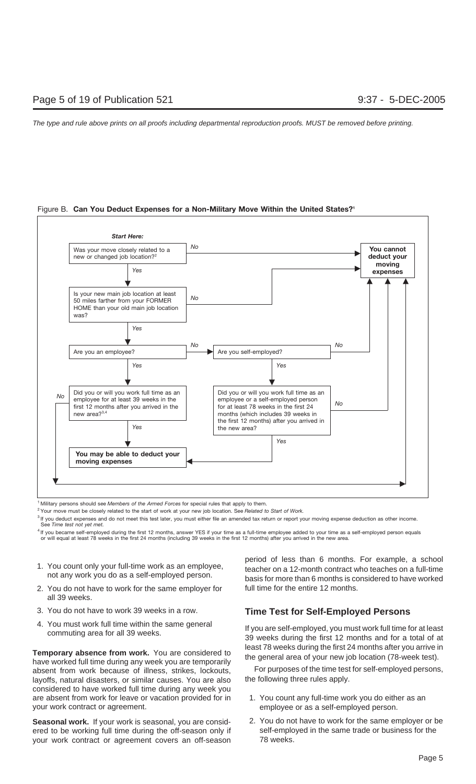Figure B. **Can You Deduct Expenses for a Non-Military Move Within the United States?1**



<sup>1</sup> Military persons should see *Members of the Armed Forces* for special rules that apply to them.

2 Your move must be closely related to the start of work at your new job location. See *Related to Start of Work.*

<sup>3</sup> If you deduct expenses and do not meet this test later, you must either file an amended tax return or report your moving expense deduction as other income. See *Time test not yet met.*

<sup>4</sup> If you became self-employed during the first 12 months, answer YES if your time as a full-time employee added to your time as a self-employed person equals or will equal at least 78 weeks in the first 24 months (including 39 weeks in the first 12 months) after you arrived in the new area.

- 
- 2. You do not have to work for the same employer for full time for the entire 12 months. all 39 weeks.
- 
- 

**Temporary absence from work.** You are considered to<br>have worked full time during any week you are temporarily<br>absent from work because of illness strikes lockouts<br>For purposes of the time test for self-employed persons, absent from work because of illness, strikes, lockouts, layoffs, natural disasters, or similar causes. You are also the following three rules apply. considered to have worked full time during any week you are absent from work for leave or vacation provided for in 1. You count any full-time work you do either as an your work contract or agreement. example the employee or as a self-employed person.

ered to be working full time during the off-season only if self-employed in the same trade or business for the your work contract or agreement covers an off-season 78 weeks.

period of less than 6 months. For example, a school<br>1. You count only your full-time work as an employee,<br>1. You count only your full-time<br>1. teacher on a 12-month contract who teaches on a full-time<br>1. hot any work you do basis for more than 6 months is considered to have worked

### 3. You do not have to work 39 weeks in a row. **Time Test for Self-Employed Persons**

4. You must work full time within the same general If you are self-employed, you must work full time for at least commuting area for all 39 weeks. 39 weeks during the first 12 months and for a total of at

- 
- Seasonal work. If your work is seasonal, you are consid-<br>2. You do not have to work for the same employer or be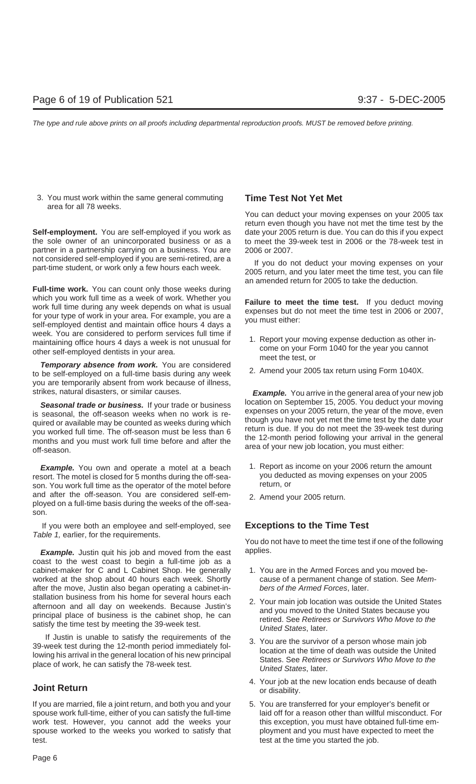3. You must work within the same general commuting **Time Test Not Yet Met** area for all 78 weeks.

Self-employment. You are self-employed if you work as date your 2005 return is due. You can do this if you expect the sole owner of an unincorporated business or as a to meet the 39-week test in 2006 or the 78-week test in partner in a partnership carrying on a business. You are 2006 or 2007. not considered self-employed if you are semi-retired, are a<br>
If you do not deduct your moving expenses on your<br>
2005 return, and you later meet the time test, you can file

**Full-time work.** You can count only those weeks during which you work full time as a week of work. Whether you<br>work full time during any week depends on what is usual<br>for your type of work in your area. For example, you are a<br>self-employed dentist and maintain office hours 4 d week. You are considered to perform services full time if montaining office hours 4 days a week is not unusual for the port your moving expense deduction as other in-<br>nailtaining of the port your moving expense deduction as other in-<br>other cell employed dentists in your creation other self-employed dentists in your area. The come on your Form the test, or the vest, or

**Temporary absence from work.** You are considered 2. Amend your 2005 tax return using Form 1040X. to be self-employed on a full-time basis during any week you are temporarily absent from work because of illness, strikes, natural disasters, or similar causes. **Example.** You arrive in the general area of your new job

**Seasonal trade or business.** If your trade or business<br>is seasonal, the off-season weeks when no work is re-<br>quired or available may be counted as weeks during which<br>you worked full time. The off-season must be less than

**Example.** You own and operate a motel at a beach 1. Report as income on your 2006 return the amount sort. The motel is closed for 5 months during the off-sea-<br>you deducted as moving expenses on your 2005 resort. The motel is closed for 5 months during the off-sea- you deducted your vector of the motel hefore as the operator of the motel hefore the return, or son. You work full time as the operator of the motel before and after the off-season. You are considered self-em-<br>ployed on a full-time basis during the weeks of the off-sea-<br>ployed on a full-time basis during the weeks of the off-season.

If you were both an employee and self-employed, see **Exceptions to the Time Test**

**Example.** Justin quit his job and moved from the east applies. coast to the west coast to begin a full-time job as a cabinet-maker for C and L Cabinet Shop. He generally 1. You are in the Armed Forces and you moved beworked at the shop about 40 hours each week. Shortly cause of a permanent change of station. See Mem-<br>after the move, Justin also began operating a cabinet-in-<br>bers of the Armed Forces, later. after the move, Justin also began operating a cabinet-installation business from his home for several hours each<br>afternoon and all day on weekends. Because Justin's<br>principal place of business is the cabinet shop, he can<br>satisfy the time test by meeting the 39-week test.<br>Difted

If Justin is unable to satisfy the requirements of the 39-week test during the 12-month period immediately fol-<br>39-week test during the 12-month period immediately fol-<br>3. You are the survivor of a person whose main job<br>3.

If you are married, file a joint return, and both you and your 5. You are transferred for your employer's benefit or spouse work full-time, either of you can satisfy the full-time laid off for a reason other than willful misconduct. For work test. However, you cannot add the weeks your this exception, you must have obtained full-time emspouse worked to the weeks you worked to satisfy that ployment and you must have expected to meet the test. test at the time you started the job.

You can deduct your moving expenses on your 2005 tax return even though you have not met the time test by the

an amended return for 2005 to take the deduction.

- 
- 

- 
- 

Table 1, earlier, for the requirements.<br>You do not have to meet the time test if one of the following

- 
- 
- 
- **1.** Your job at the new location ends because of death **Joint Return** and **Joint Return** or disability.
	-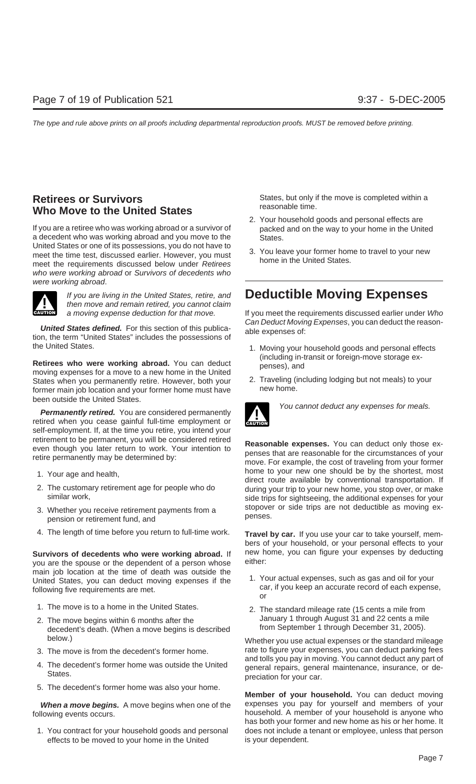## **Who Move to the United States**

If you are a retiree who was working abroad or a survivor of packed and on the way to your home in the United a decedent who was working abroad and you move to the<br>United States or one of its possessions, you do not have to meet the time test, discussed earlier. However, you must<br>meet the requirements discussed below under Retirees home in the United States. who were working abroad or Survivors of decedents who were working abroad.



the United States. 1. Moving your household goods and personal effects

**Retirees who were working abroad.** You can deduct moving expenses for a move to a new home in the United<br>
States when you permanently retire However both your **2.** Traveling (including lodging but not meals) to your<br>
2. T States when you permanently retire. However, both your 2. Traveling (in the former main job location and your former home must have mew home. former main job location and your former home must have been outside the United States.

**Permanently retired.** You are considered permanently **Property and You cannot deduct any expenses for meals.** retired when you cease gainful full-time employment or self-employment. If, at the time you retire, you intend your

- 
- 
- pension or retirement fund, and
- 4. The length of time before you return to full-time work. **Travel by car.** If you use your car to take yourself, mem-

you are the spouse or the dependent of a person whose main job location at the time of death was outside the<br>United States, you can deduct moving expenses if the<br>following five requirements are met.<br>The car, if you keep an accurate record of each expense,<br>car, if you keep an

- 
- decedent's death. (When a move begins is described
- 
- 
- 5. The decedent's former home was also your home.

effects to be moved to your home in the United is your dependent.

**Retirees or Survivors**<br> **States, but only if the move is completed within a**<br> **States, but only if the move is completed within a**<br> **States, but only if the move is completed within a** 

- 2. Your household goods and personal effects are
- 

## If you are living in the United States, retire, and **Deductible Moving Expenses** then move and remain retired, you cannot claim

a moving expense deduction for that move. If you meet the requirements discussed earlier under Who **United States defined.** For this section of this publica-<br>
tion, the term "United States" includes the possessions of<br> **United States** includes the possessions of

- 
- 



retirement to be permanent, you will be considered retired<br>even though you later return to work. Your intention to<br>retire permanently may be determined by:<br>move. For example, the cost of traveling from your former 1. Your age and health,<br>
2. The customary retirement age for people who do<br>
2. The customary retirement age for people who do<br>
2. The customary retirement age for people who do<br>
during your trip to your new home, you stop The customary retirement age for people who do during your trip to your new home, you stop over, or make<br>similar work, side trips for sightseeing the additional expenses for your side trips for sightseeing, the additional expenses for your 3. Whether you receive retirement payments from a stopover or side trips are not deductible as moving ex-<br>pension or retirement fund and<br>penses.

bers of your household, or your personal effects to your **Survivors of decedents who were working abroad.** If new home, you can figure your expenses by deducting you are the spouse or the dependent of a person whose either:

- or
- 1. The move is to a home in the United States. 2. The standard mileage rate (15 cents a mile from 2. The move begins within 6 months after the January 1 through August 31 and 22 cents a mile<br>decedent's death (When a move begins is described from September 1 through December 31, 2005).

below.) Whether you use actual expenses or the standard mileage 3. The move is from the decedent's former home. rate to figure your expenses, you can deduct parking fees<br>and tolls you pay in moving. You cannot deduct any part of A. The decedent's former home was outside the United<br>States.<br>States.<br>States.<br>States.<br>States.

**Member of your household.** You can deduct moving When a move begins. A move begins when one of the expenses you pay for yourself and members of your following events occurs. has both your former and new home as his or her home. It 1. You contract for your household goods and personal does not include a tenant or employee, unless that person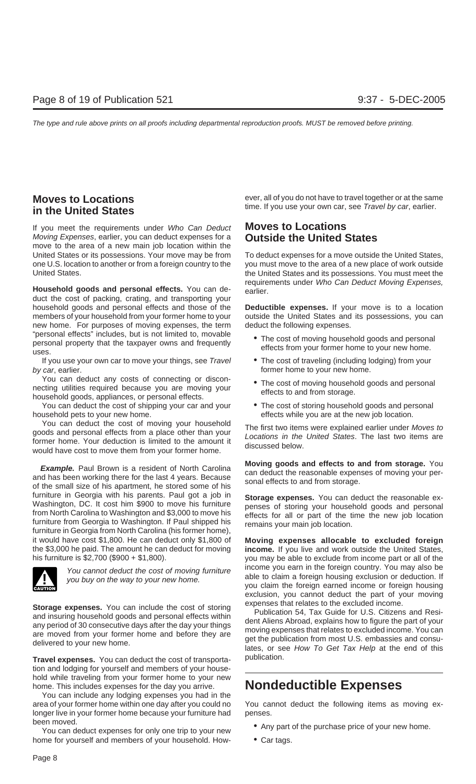If you meet the requirements under Who Can Deduct **Moves to Locations** Moving Expenses, earlier, you can deduct expenses for a **Outside the United States** move to the area of a new main job location within the United States or its possessions. Your move may be from To deduct expenses for a move outside the United States, one U.S. location to another or from a foreign country to the you must move to the area of a new place of work outside United States. the United States and its possessions. You must meet the

duct the cost of packing, crating, and transporting your household goods and personal effects and those of the **Deductible expenses.** If your move is to a location members of your household from your former home to your outside the United States and its possessions, you can new home. For purposes of moving expenses, the term deduct the following expenses. "personal effects" includes, but is not limited to, movable • The cost of moving household goods and personal personal property that the taxpayer owns and frequently effects from your former home to your new home. uses.

If you use your own car to move your things, see Travel • The cost of traveling (including lodging) from your by car, earlier. **former home to your new home.** former home to your new home.

You can deduct any costs of connecting or discon-<br>necting utilities required because you are moving your<br>household goods, appliances, or personal effects.<br>Freects to and from storage.

You can deduct the cost of shipping your car and your • The cost of storing household goods and personal household pets to your new home. effects while you are at the new job location.

You can deduct the cost of moving your household<br>goods and personal effects from a place other than your<br>former home. Your deduction is limited to the amount it<br>would have cost to move them from your former home.<br>discussed

**Example.** Paul Brown is a resident of North Carolina and **Moving goods and effects to and from storage.** You can deduct the reasonable expenses of moving your per-<br>of the small size of his apartment, he stored some of his furniture in Georgia with his parents. Paul got a job in **Storage expenses.** You can deduct the reasonable ex-<br>Washington, DC. It cost him \$900 to move his furniture penses of storing vour bousehold goods and personal viashington, DC. It cost nim \$900 to move his furniture<br>from North Carolina to Washington and \$3,000 to move his<br>furniture from Georgia to Washington. If Paul shipped his<br>furniture in Georgia from North Carolina (his forme it would have cost \$1,800. He can deduct only \$1,800 of **Moving expenses allocable to excluded foreign** the \$3,000 he paid. The amount he can deduct for moving **income.** If you live and work outside the United States,<br>his furniture is \$2,700 (\$900 + \$1,800).



**Storage expenses.** You can include the cost of storing<br>and insuring household goods and personal effects within<br>any period of 30 consecutive days after the day your things<br>are moved from your former home and before they a

**Travel expenses.** You can deduct the cost of transporta- publication. tion and lodging for yourself and members of your household while traveling from your former home to your new home. This includes expenses for the day you arrive. **Nondeductible Expenses**

You can include any lodging expenses you had in the longer live in your former home because your furniture had penses.

been moved.<br>You can deduct expenses for only one trip to your new <br>• Any part of the purchase price of your new home. home for yourself and members of your household. How- • Car tags.

**Moves to Locations** ever, all of you do not have to travel together or at the same time. If you use your own car, see Travel by car, earlier. **in the United States**

requirements under Who Can Deduct Moving Expenses, **Household goods and personal effects.** You can de- earlier.

- 
- 
- 
- 

you may be able to exclude from income part or all of the You cannot deduct the cost of moving furniture income you earn in the foreign country. You may also be you buy on the way to your new home. you claim the foreign earned income or foreign housing exclusion, you cannot deduct the part of your moving

area of your former home within one day after you could no You cannot deduct the following items as moving ex-

- 
-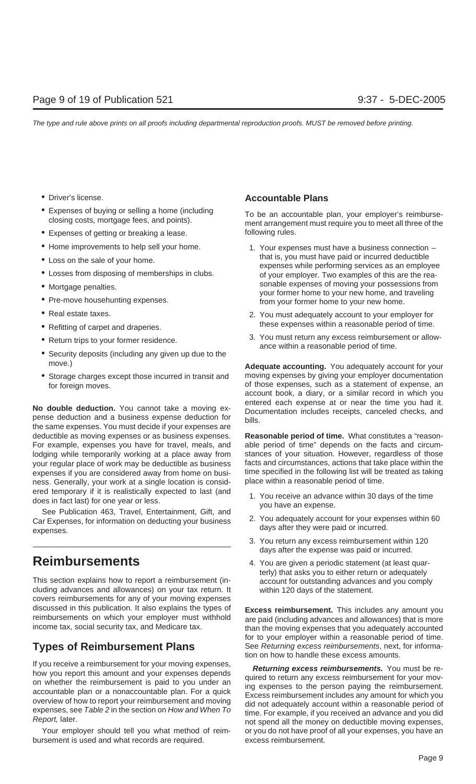- 
- 
- Expenses of getting or breaking a lease. The following rules.
- 
- 
- 
- 
- 
- 
- 
- 
- 
- 

the same expenses. You must decide if your expenses are deductible as moving expenses or as business expenses. **Reasonable period of time.** What constitutes a "reason-For example, expenses you have for travel, meals, and able period of time" depends on the facts and circumlodging while temporarily working at a place away from stances of your situation. However, regardless of those your regular place of work may be deductible as business facts and circumstances, actions that take place within the expenses if you are considered away from home on busi- time specified in the following list will be treated as taking ness. Generally, your work at a single location is consid- place within a reasonable period of time. ered temporary if it is realistically expected to last (and<br>does in fact last) for one year or less.<br>See Publication 463, Travel, Entertainment, Gift, and<br>Car Expenses for information on deducting your business<br>2. You adeq

Car Expenses, for information on deducting your business days after they were paid or incurred.<br>expenses.

This section explains how to report a reimbursement (in- account for outstanding advances and you comply cluding advances and allowances) on your tax return. It within 120 days of the statement. covers reimbursements for any of your moving expenses discussed in this publication. It also explains the types of<br>reimbursement. This includes any amount you<br>reimbursements on which your employer must withhold<br>income tax, social security tax, and Medicare tax.<br>than the movin

If you receive a reimbursement for your moving expenses,<br>
how you report this amount and your expenses depends<br>
on whether the reimbursement is paid to you under an<br>
accountable plan or a nonaccountable plan. For a quick<br>

bursement is used and what records are required. excess reimbursement.

### • Driver's license. **Accountable Plans**

• Expenses of buying or selling a home (including To be an accountable plan, your employer's reimburse- closing costs, mortgage fees, and points). ment arrangement must require you to meet all three of the

- Home improvements to help sell your home. 1. Your expenses must have a business connection • Loss on the sale of your home.<br>• Losses from disposing of memberships in clubs.<br>• Losses from disposing of memberships in clubs.<br>• Two examples of this are the reaof your employer. Two examples of this are the rea-• Mortgage penalties. <br>• Mortgage penalties. would be a provided by a sonable expenses of moving your possessions from your former home to your new home, and traveling from your former home to your new home.
- Real estate taxes.  $\bullet$  **Real estate taxes.** 2. You must adequately account to your employer for • Refitting of carpet and draperies.  $\bullet$  these expenses within a reasonable period of time.
- Return trips to your former residence. <br>
 Security deposits (including any given up due to the<br>
 Security deposits (including any given up due to the

move.) **Adequate accounting.** You adequately account for your • Storage charges except those incurred in transit and moving expenses by giving your employer documentation for foreign moves. The statement of expenses, such as a statement of expense, an account book, a diary, or a similar record in which you **No double deduction.** You cannot take a moving ex-<br>
pense deduction and a business expense deduction for bills.<br>
bills.

- 
- 
- 3. You return any excess reimbursement within 120 days after the expense was paid or incurred.
- **Reimbursements** 4. You are given a periodic statement (at least quarterly) that asks you to either return or adequately

than the moving expenses that you adequately accounted. for to your employer within a reasonable period of time. **Types of Reimbursement Plans** See Returning excess reimbursements, next, for information on how to handle these excess amounts.

expenses, see Table 2 in the section on How and When To<br>expenses, see Table 2 in the section on How and When To<br>Report, later. not spend all the money on deductible moving expenses, Your employer should tell you what method of reim- or you do not have proof of all your expenses, you have an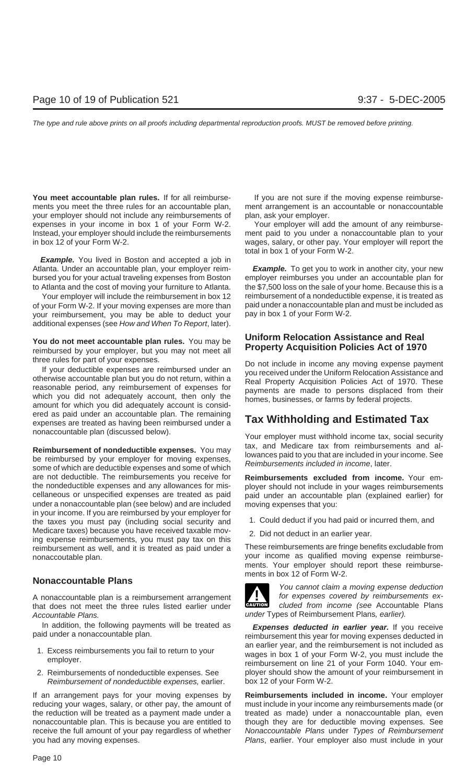**You meet accountable plan rules.** If for all reimburse- If you are not sure if the moving expense reimbursements you meet the three rules for an accountable plan, ment arrangement is an accountable or nonaccountable your employer should not include any reimbursements of plan, ask your employer. expenses in your income in box 1 of your Form W-2. Your employer will add the amount of any reimburse-Instead, your employer should include the reimbursements ment paid to you under a nonaccountable plan to your in box 12 of your Form W-2. wages, salary, or other pay. Your employer will report the

**Example.** You lived in Boston and accepted a job in Atlanta. Under an accountable plan, your employer reim- **Example.** To get you to work in another city, your new bursed you for your actual traveling expenses from Boston employer reimburses you under an accountable plan for to Atlanta and the cost of moving your furniture to Atlanta. the \$7,500 loss on the sale of your home. Because this is a

of your Form W-2. If your moving expenses are more than paid under a nonaccountable plan and must be included as<br>your reimbursement, you may be able to deduct your pay in box 1 of your Form W-2. your reimbursement, you may be able to deduct your additional expenses (see How and When To Report, later).

three rules for part of your expenses.<br>
If your deductible expenses are reimbursed under an<br>
otherwise accountable plan but you do not return, within a<br>
reasonable period, any reimbursement of expenses for<br>
which you did n ered as paid under an accountable plan. The remaining expenses are treated as having been reimbursed under a **Tax Withholding and Estimated Tax**

**Reimbursement of nondeductible expenses.** You may<br>be reimbursed by your employer for moving expenses,<br>some of which are deductible expenses and some of which<br> $\frac{1}{2}$ <br>Reimbursements included in income, later. are not deductible. The reimbursements you receive for **Reimbursements excluded from income.** Your emthe nondeductible expenses and any allowances for mis- ployer should not include in your wages reimbursements cellaneous or unspecified expenses are treated as paid paid under an accountable plan (explained earlier) for under a nonaccountable plan (see below) and are included moving expenses that you: in your income. If you are reimbursed by your employer for the taxes you must pay (including social security and 1. Could deduct if you had paid or incurred them, and Medicare taxes) because you have received taxable mov-<br>ing expense reimbursements, you must pay tax on this<br>reimbursement as well, and it is treated as paid under a<br>These reimbursements are fringe benefits excludable from reimbursement as well, and it is treated as paid under a nonaccoutable plan. your income as qualified moving expense reimburse-

A nonaccountable plan is a reimbursement arrangement for expenses covered by reimbursements ex-<br>that does not meet the three rules listed earlier under that does not meet the three rules listed earlier under Accountable Plans. The Countable Plans, earlier).

- 
- Reimbursement of nondeductible expenses, earlier. box 12 of your Form W-2.

If an arrangement pays for your moving expenses by **Reimbursements included in income.** Your employer reducing your wages, salary, or other pay, the amount of must include in your income any reimbursements made (or the reduction will be treated as a payment made under a treated as made) under a nonaccountable plan, even nonaccountable plan. This is because you are entitled to though they are for deductible moving expenses. See receive the full amount of your pay regardless of whether Nonaccountable Plans under Types of Reimbursement you had any moving expenses. The same state of the section of Plans, earlier. Your employer also must include in your

total in box 1 of your Form W-2.

Your employer will include the reimbursement in box 12 reimbursement of a nondeductible expense, it is treated as

## **You do not meet accountable plan rules.** You may be **Uniform Relocation Assistance and Real** reimbursed by your employer, but you may not meet all **Property Acquisition Policies Act of 1970**

nonaccountable plan (discussed below). Your employer must withhold income tax, social security

- 
- 

ments. Your employer should report these reimbursements in box 12 of Form W-2.



**Nonaccountable Plans** Monaccountable Plans

In addition, the following payments will be treated as **Expenses deducted in earlier year.** If you receive paid under a nonaccountable plan. The non-the metal of moving expenses deducted in 1. Excess reimbursements you fail to return to your<br>employer. wages in box 1 of your Form W-2, you must include the<br>reimbursement on line 21 of your Form 1040. Your em-2. Reimbursements of nondeductible expenses. See ployer should show the amount of your reimbursement in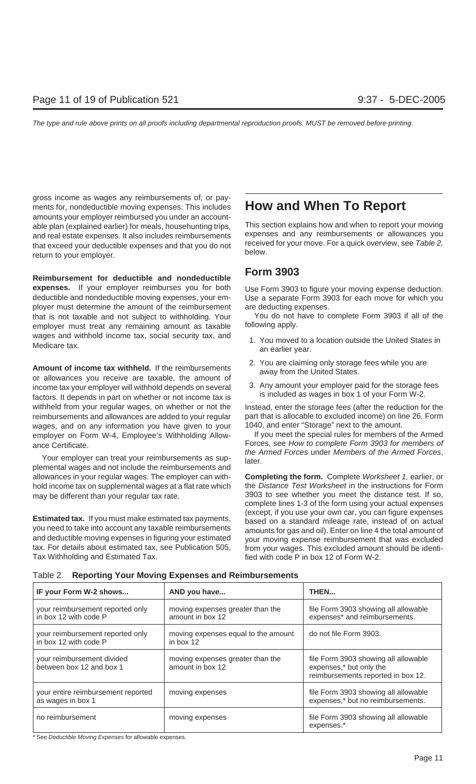gross income as wages any reimbursements of, or payments for, nondeductible moving expenses. This includes **How and When To Report** amounts your employer reimbursed you under an accountable plan (explained earlier) for meals, househunting trips, This section explains how and when to report your moving<br>and real estate expenses. It also includes reimbursements expenses and any reimbursements or allowances and real estate expenses. It also includes reimbursements expenses and any reimbursements or allowances you<br>that exceed your deductible expenses and that you do not received for your move. For a quick overview, see Table 2 that exceed your deductible expenses and that you do not receive<br>return to your employer.

**Form 3903 Reimbursement for deductible and nondeductible** expenses. If your employer reimburses you for both Use Form 3903 to figure your moving expense deduction. deductible and nondeductible moving expenses, your em- Use a separate Form 3903 for each move for which you ployer must determine the amount of the reimbursement are deducting expenses. that is not taxable and not subject to withholding. Your You do not have to complete Form 3903 if all of the employer must treat any remaining amount as taxable following apply. wages and withhold income tax, social security tax, and 1. You moved to a location outside the United States in<br>Medicare tax. an earlier year.

**Amount of income tax withheld.** If the reimbursements<br>or allowances you receive are taxable, the amount of<br>income tax your employer will withhold depends on several factors. It depends in part on whether or not income tax withheld from your regular wages, on whether or not the Instead, enter the storage fees (after the reduction for the reimbursements and allowances are added to your regular part that is allocable to excluded income) on line 26, Form wages, and on any information you have given to your 1040, and enter "Storage" next to the amount. employer on Form W-4, Employee's Withholding Allow- If you meet the special rules for members of the Armed

Your employer can treat your reimbursements as supplemental wages and not include the reimbursements and may be different than your regular tax rate.  $\frac{3903}{10}$  see whether you meet the distance test. If so,

tax. For details about estimated tax, see Publication 505, from your wages. This excluded amount should be identi-Tax Withholding and Estimated Tax. **Find and Extimated Tax.** fied with code P in box 12 of Form W-2.

- 
- 
- 

ance Certificate.<br>ance Certificate. Forces, see How to complete Form 3903 for members of<br>the Armed Forces under Members of the Armed Forces.

allowances in your regular wages. The employer can with- **Completing the form.** Complete Worksheet 1, earlier, or hold income tax on supplemental wages at a flat rate which the Distance Test Worksheet in the instructions for Form complete lines 1-3 of the form using your actual expenses **Estimated tax.** If you must make estimated tax payments,<br>you need to take into account any taxable reimbursements<br>and deductible moving expenses in figuring your estimated<br>and the courr moving expenses in figuring your es your moving expense reimbursement that was excluded

| IF your Form W-2 shows                                    | AND you have                                         | <b>THEN</b>                                                                                           |
|-----------------------------------------------------------|------------------------------------------------------|-------------------------------------------------------------------------------------------------------|
| your reimbursement reported only<br>in box 12 with code P | moving expenses greater than the<br>amount in box 12 | file Form 3903 showing all allowable<br>expenses* and reimbursements.                                 |
| your reimbursement reported only<br>in box 12 with code P | moving expenses equal to the amount<br>in box 12     | do not file Form 3903.                                                                                |
| your reimbursement divided<br>between box 12 and box 1    | moving expenses greater than the<br>amount in box 12 | file Form 3903 showing all allowable<br>expenses,* but only the<br>reimbursements reported in box 12. |
| your entire reimbursement reported<br>as wages in box 1   | moving expenses                                      | file Form 3903 showing all allowable<br>expenses,* but no reimbursements.                             |
| no reimbursement                                          | moving expenses                                      | file Form 3903 showing all allowable<br>expenses.*                                                    |

Table 2. **Reporting Your Moving Expenses and Reimbursements**

\* See Deductible Moving Expenses for allowable expenses.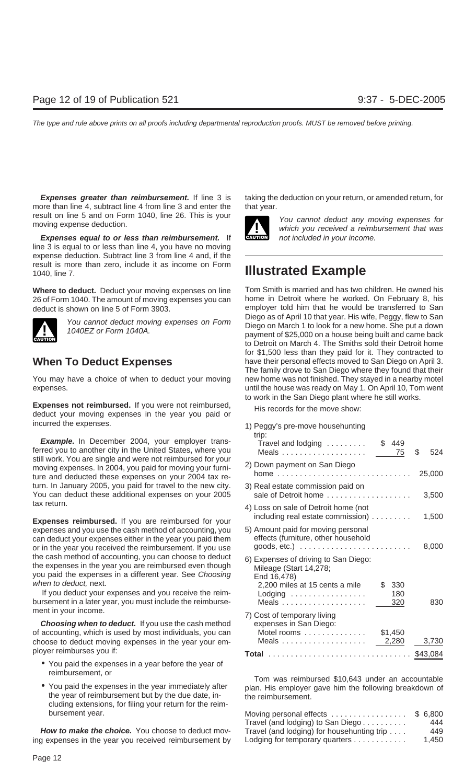more than line 4, subtract line 4 from line 3 and enter the that year. result on line 5 and on Form 1040, line 26. This is your<br>
Which you cannot deduct any moving expenses for<br>
Which you received a reimbursement that was

**Expenses equal to or less than reimbursement.** If **CAUTION** not included in your income. line 3 is equal to or less than line 4, you have no moving expense deduction. Subtract line 3 from line 4 and, if the result is more than zero, include it as income on Form 1040, line 7. **Illustrated Example**



You may have a choice of when to deduct your moving new home was not finished. They stayed in a nearby motel

**Expenses not reimbursed.** If you were not reimbursed, His records for the move show:<br>deduct your moving expenses in the year you paid or incurred the expenses.

**Example.** In December 2004, your employer trans-<br>ferred you to another city in the United States, where you still work. You are single and were not reimbursed for your moving expenses. In 2004, you paid for moving your furniture and deducted these expenses on your 2004 tax return. In January 2005, you paid for travel to the new city. You can deduct these additional expenses on your 2005 tax return. 4) Loss on sale of Detroit home (not

**Expenses reimbursed.** If you are reimbursed for your expenses and you use the cash method of accounting, you can deduct your expenses either in the year you paid them or in the year you received the reimbursement. If you use the cash method of accounting, you can choose to deduct<br>the expenses in the year you are reimbursed even though<br>you paid the expenses in a different year. See Choosing<br>when to deduct, next.

If you deduct your expenses and you receive the reimbursement in a later year, you must include the reimbursement in your income.

**Choosing when to deduct.** If you use the cash method of accounting, which is used by most individuals, you can choose to deduct moving expenses in the year your employer reimburses you if: **Total** ................................ \$43,084

- You paid the expenses in a year before the year of
- the year of reimbursement but by the due date, in-<br>the reimbursement. cluding extensions, for filing your return for the reimbursement year.

How to make the choice. You choose to deduct moving expenses in the year you received reimbursement by

**Expenses greater than reimbursement.** If line 3 is taking the deduction on your return, or amended return, for



Where to deduct. Deduct your moving expenses on line Tom Smith is married and has two children. He owned his 26 of Form 1040. The amount of moving expenses you can home in Detroit where he worked. On February 8, his deduct is shown on line 5 of Form 3903.<br>Diego as of April 10 that year. His wife, Peggy, flew to San You cannot deduct moving expenses on Form<br>Diego on March 1 to look for a new home. She put a down<br>payment of \$25,000 on a house being built and came back to Detroit on March 4. The Smiths sold their Detroit home for \$1,500 less than they paid for it. They contracted to When To Deduct Expenses have their personal effects moved to San Diego on April 3. The family drove to San Diego where they found that their expenses. until the house was ready on May 1. On April 10, Tom went to work in the San Diego plant where he still works.

| 1) Peggy's pre-move househunting<br>trip:<br>Travel and lodging                                                                                     | \$449                   |              |
|-----------------------------------------------------------------------------------------------------------------------------------------------------|-------------------------|--------------|
|                                                                                                                                                     | 75                      | \$<br>524    |
| 2) Down payment on San Diego<br>home $\ldots$<br>.                                                                                                  |                         | 25,000       |
| 3) Real estate commission paid on<br>sale of Detroit home                                                                                           |                         | 3,500        |
| 4) Loss on sale of Detroit home (not<br>including real estate commission)                                                                           |                         | 1,500        |
| 5) Amount paid for moving personal<br>effects (furniture, other household<br>goods, etc.) $\ldots \ldots \ldots \ldots \ldots \ldots \ldots \ldots$ |                         | 8,000        |
| 6) Expenses of driving to San Diego:<br>Mileage (Start 14,278;<br>End 16,478)                                                                       |                         |              |
| 2,200 miles at 15 cents a mile<br>Lodging $\ldots \ldots \ldots \ldots \ldots$                                                                      | \$<br>330<br>180<br>320 | 830          |
| 7) Cost of temporary living<br>expenses in San Diego:<br>Motel rooms                                                                                | \$1,450                 |              |
|                                                                                                                                                     | 2,280                   | 3,730        |
|                                                                                                                                                     |                         | 0. 10. 00. 1 |

reimbursement, or<br>• Tom was reimbursed \$10,643 under an accountable<br>• You paid the expenses in the year immediately after plan. His employer gave him the following breakdown of

| Moving personal effects                    | \$ 6,800 |
|--------------------------------------------|----------|
| Travel (and lodging) to San Diego          | 444      |
| Travel (and lodging) for househunting trip | 449      |
| Lodging for temporary quarters             | 1.450    |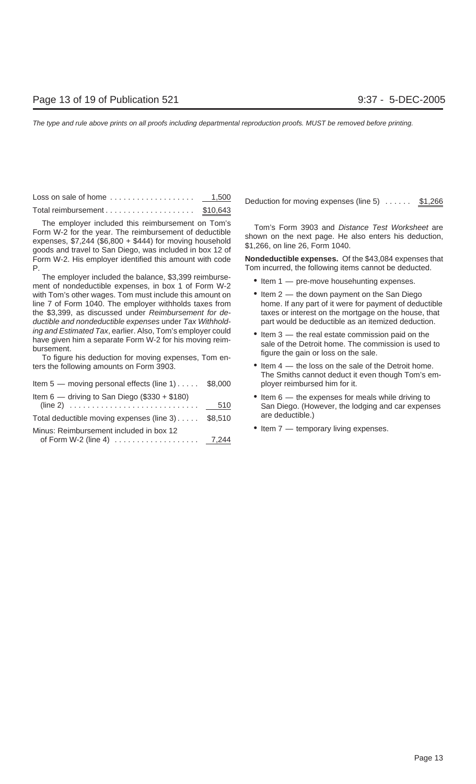Loss on sale of home ................... 1,500 Deduction for moving expenses (line 5) ...... \$1,266 Total reimbursement . . . . . . . . . . . . . . . . . . \$10,643

Tom's Form 3903 and *Distance Test Worksheet* are<br>Form W-2 for the year. The reimbursement of deductible<br>expenses, \$7,244 (\$6,800 + \$444) for moving household<br>goods and travel to San Diego, was included in box 12 of<br>and tr Form W-2. His employer identified this amount with code **Nondeductible expenses.** Of the \$43,084 expenses that P. Tom incurred, the following items cannot be deducted.

The employer included the balance, \$3,399 reimburse-<br>ment of nondeductible expenses, in box 1 of Form W-2 <br>eltem 1 — pre-move househunting expenses. with Tom's other wages. Tom must include this amount on  $\bullet$  Item 2 — the down payment on the San Diego line 7 of Form 1040. The employer withholds taxes from home. If any part of it were for payment of deductible the \$3,399, as discussed under Reimbursement for de-<br>taxes or interest on the mortgage on the house, that ductible and nondeductible expenses under Tax Withhold- part would be deductible as an itemized deduction. ing and Estimated Tax, earlier. Also, Tom's employer could<br>have given him a separate Form W-2 for his moving reim-<br>bursement.<br>To figure his deduction for moving expenses, Tom en-<br>To figure his deduction for moving expenses

ters the following amounts on Form 3903. • Item 4 — the loss on the sale of the Detroit home.

| Item 5 - moving personal effects (line 1) \$8,000                                                          |     |
|------------------------------------------------------------------------------------------------------------|-----|
| Item 6 — driving to San Diego (\$330 + \$180)                                                              | 510 |
| Total deductible moving expenses (line 3) \$8,510                                                          |     |
| Minus: Reimbursement included in box 12<br>of Form W-2 (line 4) $\ldots \ldots \ldots \ldots \ldots$ 7,244 |     |

- 
- 
- 
- The Smiths cannot deduct it even though Tom's employer reimbursed him for it.
- $\bullet$  Item 6 the expenses for meals while driving to San Diego. (However, the lodging and car expenses are deductible.)
- $\bullet$  Item 7 temporary living expenses.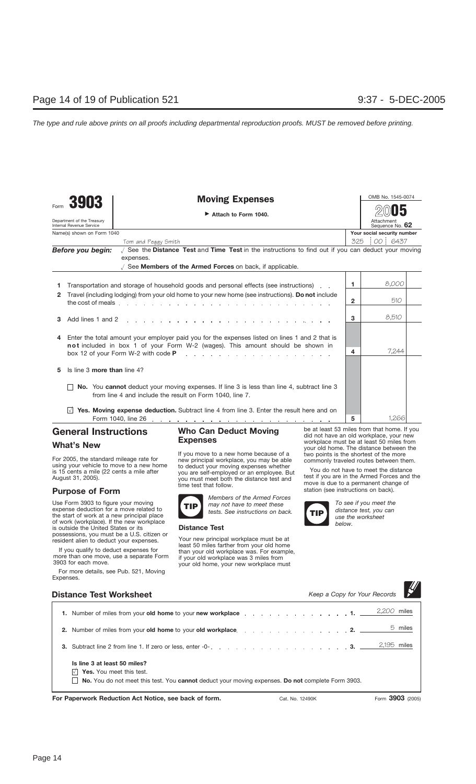Moving Expenses <u>Andrea Moving</u> Expenses

| Attach to Form 1040. |  |  |
|----------------------|--|--|
|                      |  |  |

Attachment Sequence No. **62 2005**

| Name(s) shown on Form 1040 | Your social security numbe |
|----------------------------|----------------------------|
| $\tau$ in $\sim$ ul        | 7050000217                 |

|                   | Tom and Peggy Smith                                                                                            | 325 00 6437 |       |  |
|-------------------|----------------------------------------------------------------------------------------------------------------|-------------|-------|--|
| Before you begin: | See the Distance Test and Time Test in the instructions to find out if you can deduct your moving<br>expenses. |             |       |  |
|                   | See Members of the Armed Forces on back, if applicable.                                                        |             |       |  |
|                   |                                                                                                                |             | 0.000 |  |

|              | Transportation and storage of household goods and personal effects (see instructions).                                                                                                                |   | 8,000 |  |
|--------------|-------------------------------------------------------------------------------------------------------------------------------------------------------------------------------------------------------|---|-------|--|
| $\mathbf{2}$ | Travel (including lodging) from your old home to your new home (see instructions). Do not include                                                                                                     | 2 | 510   |  |
| З.           | and the company of the company of the company of the company of the company of the company of the company of the<br>Add lines 1 and 2                                                                 | 3 | 8,510 |  |
| 4            | Enter the total amount your employer paid you for the expenses listed on lines 1 and 2 that is                                                                                                        |   |       |  |
|              | not included in box 1 of your Form W-2 (wages). This amount should be shown in<br>box 12 of your Form W-2 with code $P$ and $\ldots$ and $\ldots$ and $\ldots$ and $\ldots$ and $\ldots$ and $\ldots$ |   | 7.244 |  |
| 5            | Is line 3 more than line 4?                                                                                                                                                                           |   |       |  |
|              | <b>No.</b> You cannot deduct your moving expenses. If line 3 is less than line 4, subtract line 3<br>from line 4 and include the result on Form 1040, line 7.                                         |   |       |  |
|              | <b>Yes. Moving expense deduction.</b> Subtract line 4 from line 3. Enter the result here and on                                                                                                       |   |       |  |
|              |                                                                                                                                                                                                       | 5 | .266  |  |

### **General Instructions**

### **What's New**

Form **3903**

Department of the Treasury Internal Revenue Service

For 2005, the standard mileage rate for using your vehicle to move to a new home is 15 cents a mile (22 cents a mile after August 31, 2005).

### **Purpose of Form**

Use Form 3903 to figure your moving expense deduction for a move related to the start of work at a new principal place of work (workplace). If the new workplace is outside the United States or its possessions, you must be a U.S. citizen or resident alien to deduct your expenses.

If you qualify to deduct expenses for more than one move, use a separate Form 3903 for each move.

For more details, see Pub. 521, Moving Expenses.

### **Who Can Deduct Moving Expenses**

If you move to a new home because of a new principal workplace, you may be able to deduct your moving expenses whether you are self-employed or an employee. But you die seem simple you must meet both the distance test and time test that follow.



*Members of the Armed Forces may not have to meet these tests. See instructions on back.*

### **Distance Test**

Your new principal workplace must be at least 50 miles farther from your old home than your old workplace was. For example, if your old workplace was 3 miles from your old home, your new workplace must

be at least 53 miles from that home. If you did not have an old workplace, your new workplace must be at least 50 miles from your old home. The distance between the two points is the shortest of the more commonly traveled routes between them.

You do not have to meet the distance test if you are in the Armed Forces and the move is due to a permanent change of station (see instructions on back).



*To see if you meet the distance test, you can use the worksheet below.*

 $\blacksquare$ 

| <b>Distance Test Worksheet</b>                                                                                                                                                                                                 | Keep a Copy for Your Records |             |                  |
|--------------------------------------------------------------------------------------------------------------------------------------------------------------------------------------------------------------------------------|------------------------------|-------------|------------------|
| 1. Number of miles from your old home to your new workplace entitled and a series of miles from your old home to your new workplace                                                                                            |                              | 2,200 miles |                  |
| 2. Number of miles from your old home to your old workplace entity and the contract of the contract of the contract of the contract of the contract of the contract of the contract of the contract of the contract of the con |                              |             | 5 miles          |
| 3. Subtract line 2 from line 1. If zero or less, enter -0- enter and the context of the context of the context of the context of the context of the context of the context of the context of the context of the context of the |                              | 2,195 miles |                  |
| Is line 3 at least 50 miles?<br>Yes. You meet this test.<br><b>No.</b> You do not meet this test. You <b>cannot</b> deduct your moving expenses. <b>Do not</b> complete Form 3903.                                             |                              |             |                  |
| For Paperwork Reduction Act Notice, see back of form.<br>Cat. No. 12490K                                                                                                                                                       |                              |             | Form 3903 (2005) |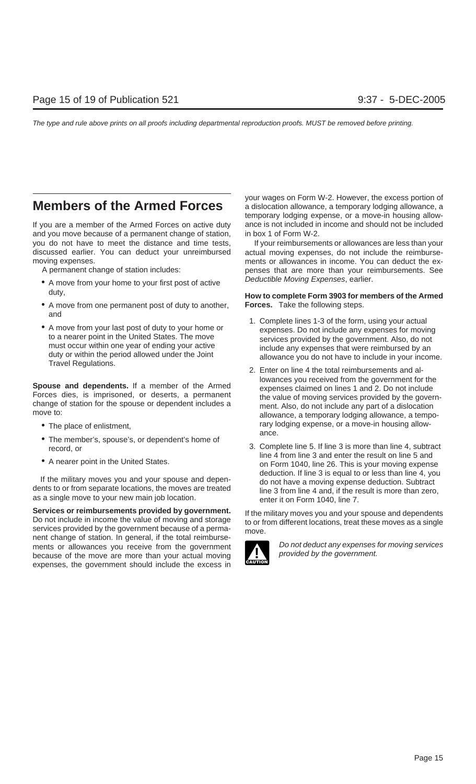If you are a member of the Armed Forces on active duty ance is not included in income and should not be included and you move because of a permanent change of station, in box 1 of Form W-2. you do not have to meet the distance and time tests, If your reimbursements or allowances are less than your discussed earlier. You can deduct your unreimbursed actual moving expenses, do not include the reimburse-

- A move from your home to your first post of active Deductible Moving Expenses, earlier.
- A move from one permanent post of duty to another, **Forces.** Take the following steps. and
- 

- 
- 
- 

**Services or reimbursements provided by government.** If the military moves you and your spouse and dependents<br>Do not include in income the value of moving and storage<br>services provided by the government because of a permanent change of station. In general, if the total reimbursements or allowances you receive from the government **Do not deduct any expenses for moving services**<br>hecause of the move are more than your actual moving because of the move are more than your actual moving. expenses, the government should include the excess in

your wages on Form W-2. However, the excess portion of **Members of the Armed Forces** a dislocation allowance, a temporary lodging allowance, a temporary lodging expense, or a move-in housing allow-

moving expenses.<br>A permanent change of station includes:<br>A permanent change of station includes:<br>penses that are more than your reimbursements. See penses that are more than your reimbursements. See

## duty, **How to complete Form 3903 for members of the Armed**

- A move from your last post of duty to your home or<br>
to a nearer point in the United States. The move<br>
must occur within one year of ending your active<br>
duty or within the period allowed under the Joint<br>
Travel Regulation
- **Spouse and dependents.** If a member of the Armed<br>Forces dies, is imprisoned, or deserts, a permanent<br>change of station for the spouse or dependent includes a<br>move to:<br>ment. Also, do not include any part of a dislocation<br>a • The place of enlistment, and the matrix of the control of the place of enlistment, and the move-in housing allow-<br>ance.
- The member's, spouse's, or dependent's home of 3. Complete line 5. If line 3 is more than line 4, subtract<br>line 4 from line 3 and enter the result on line 5 and • A nearer point in the United States. on Form 1040, line 26. This is your moving expense If the military moves you and your spouse and depen-<br>dents to or from separate locations, the moves are treated<br>as a single move to your new main job location.<br>as a single move to your new main job location.<br>denter it on F

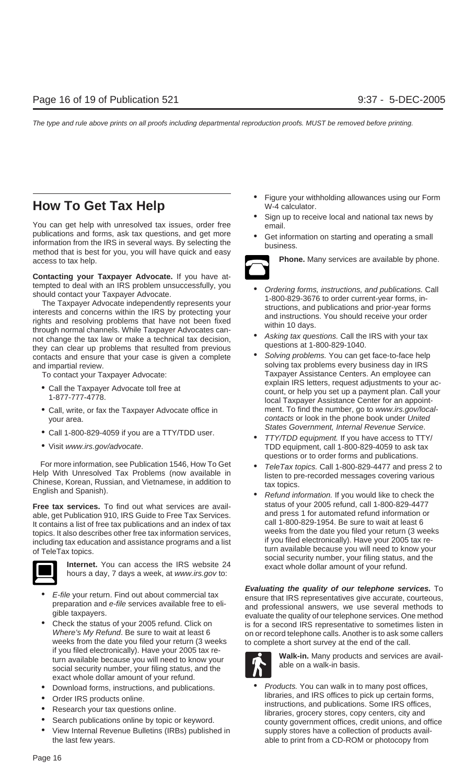## **How To Get Tax Help** W-4 calculator.

You can get help with unresolved tax issues, order free email.<br>publications and forms, ask tax questions, and get more publications and forms, ask tax questions, and get more **•** Get information on starting and operating a small information from the IRS in several ways. By selecting the business. method that is best for you, you will have quick and easy access to tax help. **Phone.** Many services are available by phone.

**Contacting your Taxpayer Advocate.** If you have at-

tempted to deal with an IRS problem unsuccessfully, you<br>
should contact your Taxpayer Advocate.<br>
The Taxpayer Advocate independently represents your<br>
interests and concerns within the IRS by protecting your<br>
rights and res they can clear up problems that resulted from previous<br>contacts and ensure that your case is given a complete  $\bullet$  Solving problems. You can get face-to-face help and impartial review. The solving tax problems every business day in IRS

- 
- 
- 
- 

For more information, see Publication 1546, How To Get Help With Unresolved Tax Problems (now available in Chinese, Korean, Russian, and Vietnamese, in addition to English and Spanish).<br>
English and Spanish). <br>
English and

**Free tax services.** To find out what services are avail-<br>Alle get Publication 910, IRS Guide to Free Tax Services and press 1 for automated refund information or



- 
- weeks from the date you filed your return (3 weeks to complete a short survey at the end of the call.<br>if you filed electronically). Have your 2005 tax return available because you will need to know your<br>social security number, your filing status, and the<br>social security number, your filing status, and the exact whole dollar amount of your refund.
- 
- 
- 
- 
- View Internal Revenue Bulletins (IRBs) published in supply stores have a collection of products availthe last few years. able to print from a CD-ROM or photocopy from
- Figure your withholding allowances using our Form
- Sign up to receive local and national tax news by
- 



- 
- 
- To contact your Taxpayer Advocate: Taxpayer Assistance Centers. An employee can<br>explain IRS letters, request adjustments to your ac-■ Call the Taxpayer Advocate toll free at count, or help you set up a payment plan. Call your 1-877-777-4778.<br>1-877-777-4778. local Taxpayer Assistance Center for an appoint-• Call, write, or fax the Taxpayer Advocate office in ment. To find the number, go to www.irs.gov/localyour area.<br>Contacts or look in the phone book under United<br>States Government, Internal Revenue Service.
- Call 1-800-829-4059 if you are a TTY/TDD user.<br>• Calco Government, If you have access to TTY/<br>• TDD equipment, call 1-800-829-4059 to ask tax TDD equipment, call 1-800-829-4059 to ask tax questions or to order forms and publications.
	-
- able, get Publication 910, IRS Guide to Free Tax Services.<br>
It contains a list of free tax publications and an index of tax<br>
topics. It also describes other free tax information services,<br>
including tax education and assis

• *E-file* your return. Find out about commercial tax<br>
preparation and *e-file* services available free to eli-<br>
gible taxpayers.<br>
• Check the status of your 2005 refund. Click on<br>
• Check the status of your 2005 refund. C Check the status of your 2005 refund. Click on it is for a second IRS representative to sometimes listen in Where's My Refund. Be sure to wait at least 6 Where's My Refund. Be sure to wait at least 6 on or record telephone calls. Another is to ask some callers weeks from the date you filed your return (3 weeks to complete a short survey at the end of the call.



• Download forms, instructions, and publications. • Products. You can walk in to many post offices,<br>
libraries, and IRS offices to pick up certain forms, • Order IRS products online.<br>
• Research your tax questions online.<br>
• Search publications online by topic or keyword.<br>
• Search publications online by topic or keyword.<br>
• Search publications online by topic or keyword.<br>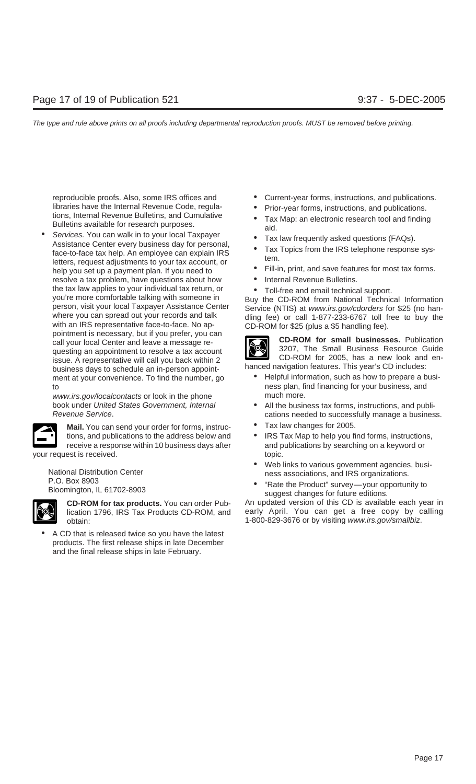Varies have the Internal Revenue Code, regula-<br>
tions, Internal Revenue Bulletins, and Cumulative<br>
Bulletins available for research purposes.<br>
• Services. You can walk in to your local Taxpayer<br>
Assistance Center every bus letters, request adjustments to your tax account, or<br>help you set up a payment plan. If you need to **•** Fill-in, print, and save features for most tax forms. resolve a tax problem, have questions about how • Internal Revenue Bulletins. the tax law applies to your individual tax return, or<br>
you're more comfortable talking with someone in<br>
person, visit your local Taxpayer Assistance Center<br>
where you can spread out your records and talk<br>
with an IRS repre business days to schedule an in-person appoint-<br>ment at your convenience. To find the number, go  $\bullet$  Helpful information, such as how to prepare a busito **ness plan, find financing for your business**, and the ness plan, find financing for your business, and

www.irs.gov/localcontacts or look in the phone much more.

**Mail.** You can send your order for forms, instruc- • Tax law changes for 2005. receive a response within 10 business days after your request is received. The set of the set of the set of the set of the set of the set of the set of the set of the set of the set of the set of the set of the set of the set of the set of the set of the set of the set o



• A CD that is released twice so you have the latest products. The first release ships in late December and the final release ships in late February.

- reproducible proofs. Also, some IRS offices and Current-year forms, instructions, and publications.
	-
	-
	-
	-
	-
	-
	-



- 
- book under United States Government, Internal **•** All the business tax forms, instructions, and publi-<br>Revenue Service. cations needed to successfully manage a business.
	-
	- tions, and publications to the address below and <br>
	 IRS Tax Map to help you find forms, instructions,<br>
	receive a response within 10 business days after<br>
	in and publications by searching on a keyword or
- National Distribution Center<br>
P.O. Box 8903<br>
Bloomington, IL 61702-8903<br>
Bloomington, IL 61702-8903<br>
P.O. Box 8903<br>
Bloomington, IL 61702-8903<br>
Suggest changes for future editions.
	-

**CD-ROM for tax products.** You can order Pub- An updated version of this CD is available each year in lication 1796, IRS Tax Products CD-ROM, and early April. You can get a free copy by calling obtain: 1-800-829-3676 or by visiting www.irs.gov/smallbiz.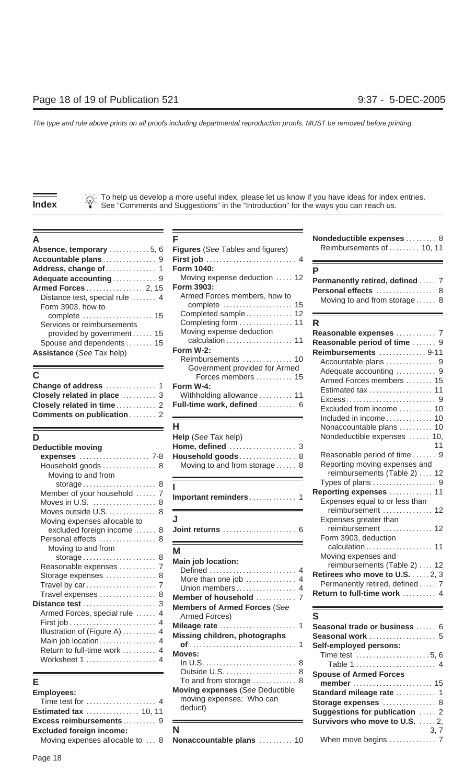To help us develop a more useful index, please let us know if you have ideas for index entries. **Index** See "Comments and Suggestions" in the "Introduction" for the ways you can reach us.

| <b>Absence, temporary</b> 5, 6 Figures (See Tables and figures)                                                          |                                                              | Reimbursements of  10, 11                                                           |
|--------------------------------------------------------------------------------------------------------------------------|--------------------------------------------------------------|-------------------------------------------------------------------------------------|
| Adequate accounting 9                                                                                                    | Moving expense deduction  12                                 | Permanently retired, defined  7                                                     |
| Distance test, special rule  4<br>Form 3903, how to                                                                      | Armed Forces members, how to                                 | Personal effects  8<br>Moving to and from storage 8                                 |
| Services or reimbursements<br>provided by government 15<br>Spouse and dependents  15<br><b>Assistance</b> (See Tax help) | Completed sample 12<br>Moving expense deduction<br>Form W-2: | R<br>Reasonable expenses  7<br>Reasonable period of time  9<br>Reimbursements  9-11 |

| Closely related in place   |  |
|----------------------------|--|
| Closely related in time 2  |  |
| Comments on publication  2 |  |

| <b>Deductible moving</b><br>expenses  7-8<br>Household goods  8<br>Moving to and from                                                  | Home, defined  3<br>Household goods 8<br>Moving to and from storage 8                                                | Reasonable period of<br>Reporting moving exp<br>reimbursements (Ta                                                                           |
|----------------------------------------------------------------------------------------------------------------------------------------|----------------------------------------------------------------------------------------------------------------------|----------------------------------------------------------------------------------------------------------------------------------------------|
| Member of your household  7<br>Moves in U.S.  8<br>Moves outside U.S.  8                                                               | Important reminders 1                                                                                                | Types of plans<br><b>Reporting expenses</b><br>Expenses equal to or<br>reimbursement                                                         |
| Moving expenses allocable to<br>excluded foreign income  8<br>Personal effects  8                                                      |                                                                                                                      | Expenses greater thai<br>reimbursement<br>Form 3903, deduction                                                                               |
| Moving to and from<br>Reasonable expenses  7<br>Storage expenses  8<br>Travel expenses  8                                              | М<br><b>Main job location:</b><br>Defined  4<br>More than one job  4<br>Member of household  7                       | calculation<br>Moving expenses and<br>reimbursements (Ta<br>Retirees who move to<br>Permanently retired, c<br><b>Return to full-time wor</b> |
| Armed Forces, special rule  4<br>Illustration of (Figure A)  4<br>Main job location 4<br>Return to full-time work  4<br>Worksheet 1  4 | <b>Members of Armed Forces (See</b><br>Armed Forces)<br>Missing children, photographs<br><b>Moves:</b><br>ln 11<br>R | S<br>Seasonal trade or busi<br>Seasonal work<br>Self-employed persons<br>Time test<br>$T - L = 1 - 1$                                        |

| <b>Employees:</b><br>Time test for $\dots\dots\dots\dots\dots\dots\dots$<br><b>Estimated tax  10, 11</b> | <b>Moving expenses</b> (See Deductible<br>moving expenses; Who can<br>deduct) | Standard mileage rate  1<br>Storage expenses  8<br>Suggestions for publication  2 |  |
|----------------------------------------------------------------------------------------------------------|-------------------------------------------------------------------------------|-----------------------------------------------------------------------------------|--|
|                                                                                                          |                                                                               | <b>Survivors who move to U.S. 2.</b>                                              |  |
| <b>Excluded foreign income:</b>                                                                          |                                                                               | 3.7                                                                               |  |
| Moving expenses allocable to                                                                             | 8 Nonaccountable plans                                                        | When move begins and the 7                                                        |  |

| Absence, temporary  5, 6                                                             | <b>Figures</b> (See Tables and figures)                           | Reimbursements of  10, 11                                    |
|--------------------------------------------------------------------------------------|-------------------------------------------------------------------|--------------------------------------------------------------|
|                                                                                      |                                                                   |                                                              |
|                                                                                      | <b>Form 1040:</b>                                                 |                                                              |
| Adequate accounting 9                                                                | Moving expense deduction  12                                      | Permanently retired, defined  7                              |
| Distance test, special rule  4<br>Form 3903, how to<br>complete  15                  | Form 3903:<br>Armed Forces members, how to<br>Completed sample 12 | Personal effects  8<br>Moving to and from storage 8          |
| Services or reimbursements<br>provided by government 15<br>Spouse and dependents  15 | Moving expense deduction                                          | R.<br>Reasonable expenses  7<br>Reasonable period of time  9 |
| <b>Assistance (See Tax help)</b>                                                     | Form $W-2$ :<br>Reimbursements  10                                | Reimbursements  9-11                                         |
| С                                                                                    | Government provided for Armed<br>Forces members  15               | Adequate accounting  9                                       |
|                                                                                      | <b>Closely related in place</b> 3 Withholding allowance  11       | Armed Forces members  15<br>Estimated tax  11                |
|                                                                                      |                                                                   | Excluded from income 10                                      |

|                                               | Help (See Tax help)            | Nondeductible expenses  10,        |
|-----------------------------------------------|--------------------------------|------------------------------------|
| <b>Deductible moving</b>                      |                                |                                    |
| <b>expenses</b> 7-8                           | <b>Household goods</b> 8       | Reasonable period of time  9       |
| Household goods $\dots\dots\dots\dots\dots$ 8 | Moving to and from storage $8$ | Reporting moving expenses and      |
|                                               |                                | $m_{\alpha}$<br>$\Lambda$ $\Omega$ |

|                              |                                             | Reporting expenses     |
|------------------------------|---------------------------------------------|------------------------|
| Moves in U.S.  8             |                                             | Expenses equal to or I |
|                              |                                             | reimbursement          |
| Moving expenses allocable to |                                             | Expenses greater than  |
|                              | excluded foreign income  8 Joint returns  6 | reimbursement          |

| Reasonable expenses  7<br>Storage expenses  8<br>Travel expenses  8<br>stance test  3                                                  | <b>Main job location:</b><br>More than one job  4<br>Union members 4<br>Member of household<br><b>Members of Armed Forces (See</b> | Moving expenses and<br>reimbursements (Table 2)  12<br>Retirees who move to U.S.  2, 3<br>Permanently retired, defined  7<br>Return to full-time work  4 |
|----------------------------------------------------------------------------------------------------------------------------------------|------------------------------------------------------------------------------------------------------------------------------------|----------------------------------------------------------------------------------------------------------------------------------------------------------|
| Armed Forces, special rule  4<br>Illustration of (Figure A)  4<br>Main job location 4<br>Return to full-time work  4<br>Worksheet 1  4 | Armed Forces)<br>Missing children, photographs<br>Moves:                                                                           | Seasonal trade or business  6<br>Seasonal work  5<br>Self-employed persons:<br>Table 1  4<br><b>Spouse of Armed Forces</b>                               |
| nployees:<br>Time test for  4<br><b>stimated tax</b> 10, 11                                                                            | To and from storage  8<br><b>Moving expenses (See Deductible</b><br>moving expenses; Who can<br>deduct)                            | member  15<br>Standard mileage rate  1<br>Storage expenses  8<br>Suggestions for publication  2                                                          |

|                                                                 | Nondeductible expenses  8 |  |
|-----------------------------------------------------------------|---------------------------|--|
| <b>Absence, temporary</b> 5, 6 Figures (See Tables and figures) | Reimbursements of  10, 11 |  |

| Permanently retired, defined  7 |  |
|---------------------------------|--|
| Personal effects  8             |  |
| Moving to and from storage 8    |  |

| <u>JEIVILES UL TEILIDUISEITIEITIS</u><br>provided by government 15<br>Spouse and dependents  15<br><b>Assistance</b> (See Tax help) | Moving expense deduction<br>Form W-2:<br>Reimbursements  10                                                                 | Reasonable expenses  7<br>Reasonable period of time  9<br>Reimbursements  9-11<br>Accountable plans  9                       |
|-------------------------------------------------------------------------------------------------------------------------------------|-----------------------------------------------------------------------------------------------------------------------------|------------------------------------------------------------------------------------------------------------------------------|
| Ć<br>Closely related in place  3<br>Comments on publication  2                                                                      | Government provided for Armed<br>Forces members  15<br>Form W-4:<br>Withholding allowance  11<br>Full-time work, defined  6 | Adequate accounting  9<br>Armed Forces members  15<br>Estimated tax  11<br>Excluded from income  10<br>Included in income 10 |
|                                                                                                                                     |                                                                                                                             | Nonaccountable plans  10                                                                                                     |
| D                                                                                                                                   | Help (See Tax help)                                                                                                         | Nondeductible expenses  10,                                                                                                  |
| <b>Deductible moving</b>                                                                                                            | Home, defined  3                                                                                                            |                                                                                                                              |
| expenses  7-8                                                                                                                       | Household goods 8                                                                                                           | Reasonable period of time  9                                                                                                 |
| Household goods  8<br>Moving to and from                                                                                            | Moving to and from storage 8                                                                                                | Reporting moving expenses and<br>reimbursements (Table 2)  12                                                                |
|                                                                                                                                     |                                                                                                                             |                                                                                                                              |
| Member of your household  7<br>Moves in U.S.  8                                                                                     |                                                                                                                             | Reporting expenses  11<br>Expenses equal to or less than                                                                     |
| Moves outside U.S.  8                                                                                                               |                                                                                                                             | reimbursement  12                                                                                                            |
| Moving expenses allocable to                                                                                                        |                                                                                                                             | Expenses greater than                                                                                                        |
| excluded foreign income  8                                                                                                          |                                                                                                                             | reimbursement  12                                                                                                            |
| Personal effects  8                                                                                                                 |                                                                                                                             | Form 3903, deduction                                                                                                         |
| Moving to and from<br>Reasonable expenses  7                                                                                        | M<br>Main job location:                                                                                                     | Moving expenses and<br>reimbursements (Table 2)  12                                                                          |
| Storage expenses  8                                                                                                                 |                                                                                                                             | Retirees who move to U.S.  2, 3                                                                                              |
|                                                                                                                                     | More than one job  4                                                                                                        | Permanently retired, defined  7                                                                                              |
| Travel expenses  8                                                                                                                  | Union members 4<br>Mamhar of housahold                                                                                      | Return to full-time work  4                                                                                                  |
|                                                                                                                                     |                                                                                                                             |                                                                                                                              |

| Illustration of (Figure A)  4<br>Return to full-time work  4<br>Worksheet 1  4 | AIIIEU FUICESI<br>Missing children, photographs<br>Moves:                                                              | Seasonal trade or business  6<br>Seasonal work  5<br>Self-employed persons:                                                      |
|--------------------------------------------------------------------------------|------------------------------------------------------------------------------------------------------------------------|----------------------------------------------------------------------------------------------------------------------------------|
| E.<br><b>Employees:</b><br>Time test for  4<br><b>Estimated tax  10, 11</b>    | To and from storage $\dots\dots\dots\dots$ 8<br>Moving expenses (See Deductible<br>moving expenses; Who can<br>deduct) | <b>Spouse of Armed Forces</b><br>member  15<br>Standard mileage rate  1<br>Storage expenses  8<br>Suggestions for publication  2 |
| <b>Excluded foreign income:</b>                                                | Moving expenses allocable to  8 Nonaccountable plans  10                                                               | Survivors who move to U.S. 2,<br>3.7<br>When move begins  7                                                                      |